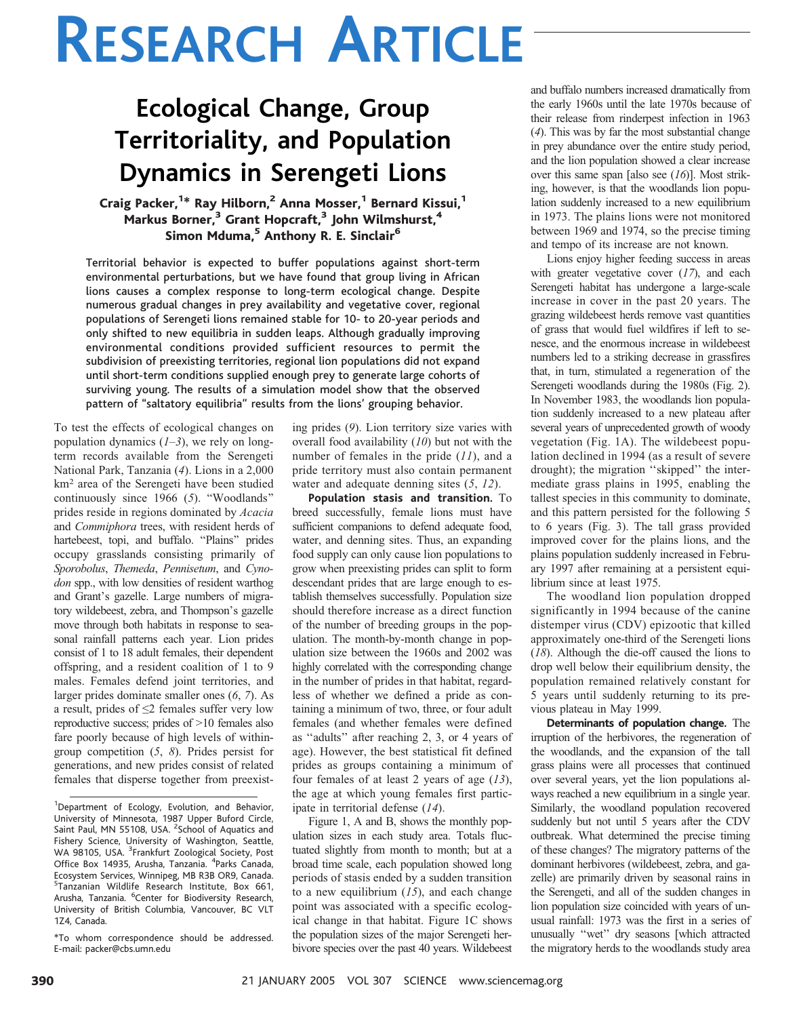# RESEARCH ARTICLE

# Ecological Change, Group Territoriality, and Population Dynamics in Serengeti Lions

### Craig Packer, <sup>1</sup>\* Ray Hilborn,<sup>2</sup> Anna Mosser,<sup>1</sup> Bernard Kissui,<sup>1</sup> Markus Borner,<sup>3</sup> Grant Hopcraft,<sup>3</sup> John Wilmshurst,<sup>4</sup> Simon Mduma,<sup>5</sup> Anthony R. E. Sinclair<sup>6</sup>

Territorial behavior is expected to buffer populations against short-term environmental perturbations, but we have found that group living in African lions causes a complex response to long-term ecological change. Despite numerous gradual changes in prey availability and vegetative cover, regional populations of Serengeti lions remained stable for 10- to 20-year periods and only shifted to new equilibria in sudden leaps. Although gradually improving environmental conditions provided sufficient resources to permit the subdivision of preexisting territories, regional lion populations did not expand until short-term conditions supplied enough prey to generate large cohorts of surviving young. The results of a simulation model show that the observed pattern of ''saltatory equilibria'' results from the lions' grouping behavior.

To test the effects of ecological changes on population dynamics  $(1-3)$ , we rely on longterm records available from the Serengeti National Park, Tanzania (4). Lions in a 2,000 km<sup>2</sup> area of the Serengeti have been studied continuously since  $1966$  (5). "Woodlands" prides reside in regions dominated by Acacia and Commiphora trees, with resident herds of hartebeest, topi, and buffalo. "Plains" prides occupy grasslands consisting primarily of Sporobolus, Themeda, Pennisetum, and Cynodon spp., with low densities of resident warthog and Grant's gazelle. Large numbers of migratory wildebeest, zebra, and Thompson's gazelle move through both habitats in response to seasonal rainfall patterns each year. Lion prides consist of 1 to 18 adult females, their dependent offspring, and a resident coalition of 1 to 9 males. Females defend joint territories, and larger prides dominate smaller ones (6, 7). As a result, prides of  $\leq$ 2 females suffer very low reproductive success; prides of  $>10$  females also fare poorly because of high levels of withingroup competition (5, 8). Prides persist for generations, and new prides consist of related females that disperse together from preexist-

\*To whom correspondence should be addressed. E-mail: packer@cbs.umn.edu

ing prides (9). Lion territory size varies with overall food availability (10) but not with the number of females in the pride  $(11)$ , and a pride territory must also contain permanent water and adequate denning sites  $(5, 12)$ .

Population stasis and transition. To breed successfully, female lions must have sufficient companions to defend adequate food, water, and denning sites. Thus, an expanding food supply can only cause lion populations to grow when preexisting prides can split to form descendant prides that are large enough to establish themselves successfully. Population size should therefore increase as a direct function of the number of breeding groups in the population. The month-by-month change in population size between the 1960s and 2002 was highly correlated with the corresponding change in the number of prides in that habitat, regardless of whether we defined a pride as containing a minimum of two, three, or four adult females (and whether females were defined as ''adults'' after reaching 2, 3, or 4 years of age). However, the best statistical fit defined prides as groups containing a minimum of four females of at least 2 years of age  $(13)$ , the age at which young females first participate in territorial defense (14).

Figure 1, A and B, shows the monthly population sizes in each study area. Totals fluctuated slightly from month to month; but at a broad time scale, each population showed long periods of stasis ended by a sudden transition to a new equilibrium  $(15)$ , and each change point was associated with a specific ecological change in that habitat. Figure 1C shows the population sizes of the major Serengeti herbivore species over the past 40 years. Wildebeest

and buffalo numbers increased dramatically from the early 1960s until the late 1970s because of their release from rinderpest infection in 1963 (4). This was by far the most substantial change in prey abundance over the entire study period, and the lion population showed a clear increase over this same span [also see  $(16)$ ]. Most striking, however, is that the woodlands lion population suddenly increased to a new equilibrium in 1973. The plains lions were not monitored between 1969 and 1974, so the precise timing and tempo of its increase are not known.

Lions enjoy higher feeding success in areas with greater vegetative cover  $(17)$ , and each Serengeti habitat has undergone a large-scale increase in cover in the past 20 years. The grazing wildebeest herds remove vast quantities of grass that would fuel wildfires if left to senesce, and the enormous increase in wildebeest numbers led to a striking decrease in grassfires that, in turn, stimulated a regeneration of the Serengeti woodlands during the 1980s (Fig. 2). In November 1983, the woodlands lion population suddenly increased to a new plateau after several years of unprecedented growth of woody vegetation (Fig. 1A). The wildebeest population declined in 1994 (as a result of severe drought); the migration ''skipped'' the intermediate grass plains in 1995, enabling the tallest species in this community to dominate, and this pattern persisted for the following 5 to 6 years (Fig. 3). The tall grass provided improved cover for the plains lions, and the plains population suddenly increased in February 1997 after remaining at a persistent equilibrium since at least 1975.

The woodland lion population dropped significantly in 1994 because of the canine distemper virus (CDV) epizootic that killed approximately one-third of the Serengeti lions (18). Although the die-off caused the lions to drop well below their equilibrium density, the population remained relatively constant for 5 years until suddenly returning to its previous plateau in May 1999.

Determinants of population change. The irruption of the herbivores, the regeneration of the woodlands, and the expansion of the tall grass plains were all processes that continued over several years, yet the lion populations always reached a new equilibrium in a single year. Similarly, the woodland population recovered suddenly but not until 5 years after the CDV outbreak. What determined the precise timing of these changes? The migratory patterns of the dominant herbivores (wildebeest, zebra, and gazelle) are primarily driven by seasonal rains in the Serengeti, and all of the sudden changes in lion population size coincided with years of unusual rainfall: 1973 was the first in a series of unusually ''wet'' dry seasons [which attracted the migratory herds to the woodlands study area

<sup>&</sup>lt;sup>1</sup>Department of Ecology, Evolution, and Behavior, University of Minnesota, 1987 Upper Buford Circle, Saint Paul, MN 55108, USA. <sup>2</sup>School of Aquatics and Fishery Science, University of Washington, Seattle,<br>WA 98105, USA. <sup>3</sup>Frankfurt Zoological Society, Post Office Box 14935, Arusha, Tanzania. <sup>4</sup>Parks Canada, Ecosystem Services, Winnipeg, MB R3B OR9, Canada. 5 Tanzanian Wildlife Research Institute, Box 661, Arusha, Tanzania. <sup>6</sup>Center for Biodiversity Research, University of British Columbia, Vancouver, BC VLT 1Z4, Canada.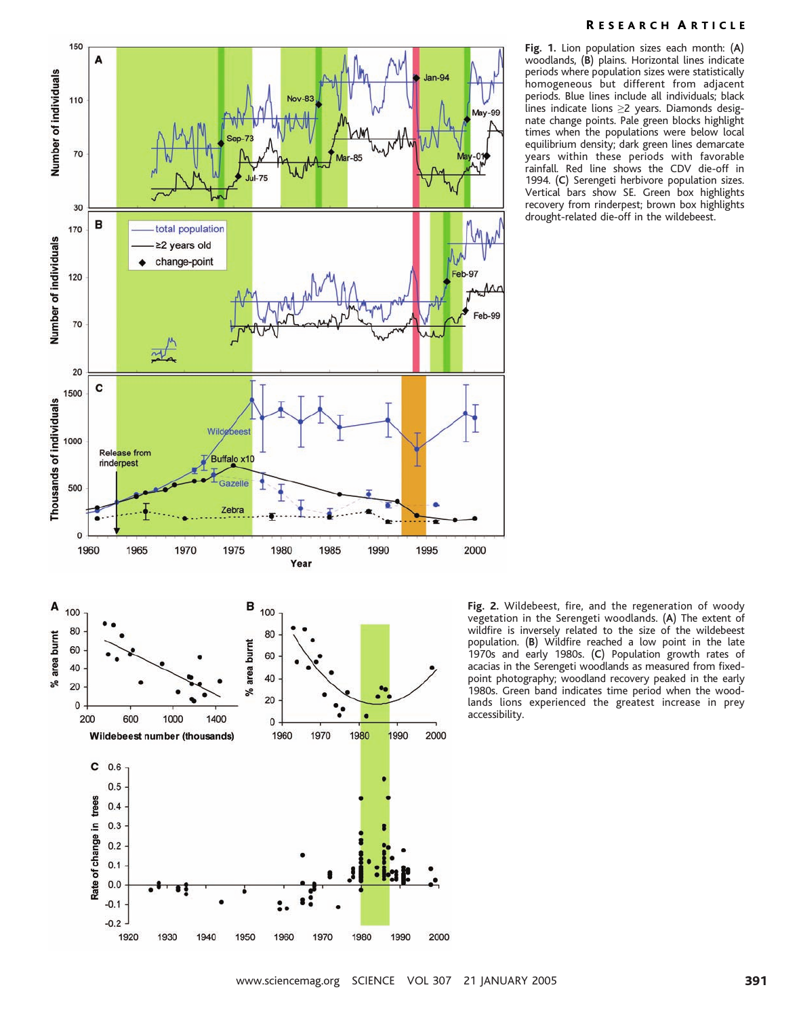

#### R ESEARCH A RTICLE

Fig. 1. Lion population sizes each month: (A) woodlands, (B) plains. Horizontal lines indicate periods where population sizes were statistically homogeneous but different from adjacent periods. Blue lines include all individuals; black lines indicate lions  $\geq$ 2 years. Diamonds designate change points. Pale green blocks highlight times when the populations were below local equilibrium density; dark green lines demarcate years within these periods with favorable rainfall. Red line shows the CDV die-off in 1994. (C) Serengeti herbivore population sizes. Vertical bars show SE. Green box highlights recovery from rinderpest; brown box highlights drought-related die-off in the wildebeest.

Fig. 2. Wildebeest, fire, and the regeneration of woody vegetation in the Serengeti woodlands. (A) The extent of wildfire is inversely related to the size of the wildebeest population. (B) Wildfire reached a low point in the late 1970s and early 1980s. (C) Population growth rates of acacias in the Serengeti woodlands as measured from fixedpoint photography; woodland recovery peaked in the early 1980s. Green band indicates time period when the woodlands lions experienced the greatest increase in prey accessibility.

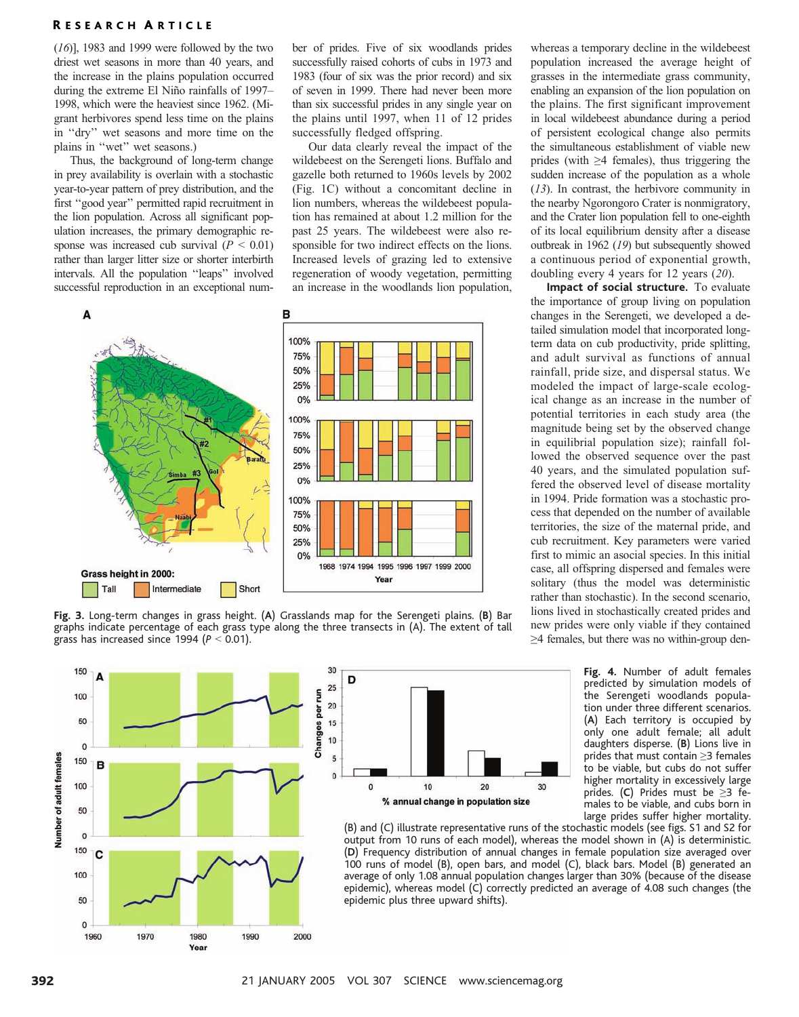#### R ESEARCH A RTICLE

 $(16)$ ], 1983 and 1999 were followed by the two driest wet seasons in more than 40 years, and the increase in the plains population occurred during the extreme El Niño rainfalls of 1997– 1998, which were the heaviest since 1962. (Migrant herbivores spend less time on the plains in ''dry'' wet seasons and more time on the plains in ''wet'' wet seasons.)

Thus, the background of long-term change in prey availability is overlain with a stochastic year-to-year pattern of prey distribution, and the first ''good year'' permitted rapid recruitment in the lion population. Across all significant population increases, the primary demographic response was increased cub survival  $(P < 0.01)$ rather than larger litter size or shorter interbirth intervals. All the population ''leaps'' involved successful reproduction in an exceptional number of prides. Five of six woodlands prides successfully raised cohorts of cubs in 1973 and 1983 (four of six was the prior record) and six of seven in 1999. There had never been more than six successful prides in any single year on the plains until 1997, when 11 of 12 prides successfully fledged offspring.

Our data clearly reveal the impact of the wildebeest on the Serengeti lions. Buffalo and gazelle both returned to 1960s levels by 2002 (Fig. 1C) without a concomitant decline in lion numbers, whereas the wildebeest population has remained at about 1.2 million for the past 25 years. The wildebeest were also responsible for two indirect effects on the lions. Increased levels of grazing led to extensive regeneration of woody vegetation, permitting an increase in the woodlands lion population,



Fig. 3. Long-term changes in grass height. (A) Grasslands map for the Serengeti plains. (B) Bar graphs indicate percentage of each grass type along the three transects in (A). The extent of tall grass has increased since 1994 ( $P < 0.01$ ).

30

D

whereas a temporary decline in the wildebeest population increased the average height of grasses in the intermediate grass community, enabling an expansion of the lion population on the plains. The first significant improvement in local wildebeest abundance during a period of persistent ecological change also permits the simultaneous establishment of viable new prides (with  $\geq$ 4 females), thus triggering the sudden increase of the population as a whole (13). In contrast, the herbivore community in the nearby Ngorongoro Crater is nonmigratory, and the Crater lion population fell to one-eighth of its local equilibrium density after a disease outbreak in 1962 (19) but subsequently showed a continuous period of exponential growth, doubling every 4 years for 12 years (20).

Impact of social structure. To evaluate the importance of group living on population changes in the Serengeti, we developed a detailed simulation model that incorporated longterm data on cub productivity, pride splitting, and adult survival as functions of annual rainfall, pride size, and dispersal status. We modeled the impact of large-scale ecological change as an increase in the number of potential territories in each study area (the magnitude being set by the observed change in equilibrial population size); rainfall followed the observed sequence over the past 40 years, and the simulated population suffered the observed level of disease mortality in 1994. Pride formation was a stochastic process that depended on the number of available territories, the size of the maternal pride, and cub recruitment. Key parameters were varied first to mimic an asocial species. In this initial case, all offspring dispersed and females were solitary (thus the model was deterministic rather than stochastic). In the second scenario, lions lived in stochastically created prides and new prides were only viable if they contained  $\geq$ 4 females, but there was no within-group den-

> Fig. 4. Number of adult females predicted by simulation models of the Serengeti woodlands population under three different scenarios. (A) Each territory is occupied by only one adult female; all adult daughters disperse. (B) Lions live in prides that must contain  $\geq$ 3 females to be viable, but cubs do not suffer higher mortality in excessively large prides. (C) Prides must be  $\geq$ 3 females to be viable, and cubs born in large prides suffer higher mortality.



10  $20$ 30 % annual change in population size

(B) and (C) illustrate representative runs of the stochastic models (see figs. S1 and S2 for output from 10 runs of each model), whereas the model shown in (A) is deterministic. (D) Frequency distribution of annual changes in female population size averaged over 100 runs of model (B), open bars, and model (C), black bars. Model (B) generated an average of only 1.08 annual population changes larger than 30% (because of the disease epidemic), whereas model (C) correctly predicted an average of 4.08 such changes (the epidemic plus three upward shifts).

150